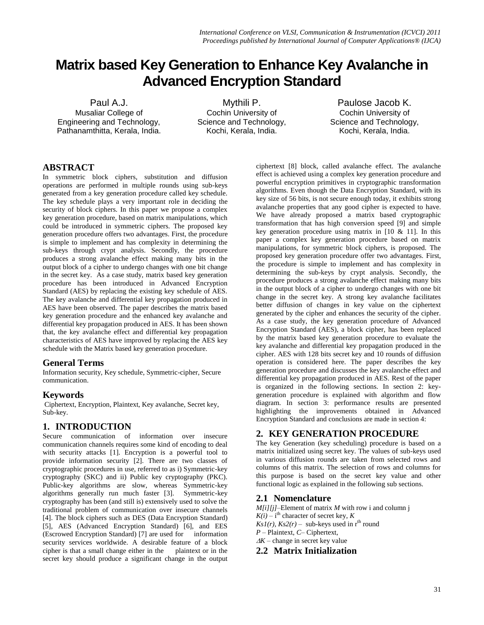# **Matrix based Key Generation to Enhance Key Avalanche in Advanced Encryption Standard**

Paul A.J. Musaliar College of Engineering and Technology, Pathanamthitta, Kerala, India.

Mythili P. Cochin University of Science and Technology, Kochi, Kerala, India.

Paulose Jacob K. Cochin University of Science and Technology, Kochi, Kerala, India.

# **ABSTRACT**

In symmetric block ciphers, substitution and diffusion operations are performed in multiple rounds using sub-keys generated from a key generation procedure called key schedule. The key schedule plays a very important role in deciding the security of block ciphers. In this paper we propose a complex key generation procedure, based on matrix manipulations, which could be introduced in symmetric ciphers. The proposed key generation procedure offers two advantages. First, the procedure is simple to implement and has complexity in determining the sub-keys through crypt analysis. Secondly, the procedure produces a strong avalanche effect making many bits in the output block of a cipher to undergo changes with one bit change in the secret key. As a case study, matrix based key generation procedure has been introduced in Advanced Encryption Standard (AES) by replacing the existing key schedule of AES. The key avalanche and differential key propagation produced in AES have been observed. The paper describes the matrix based key generation procedure and the enhanced key avalanche and differential key propagation produced in AES. It has been shown that, the key avalanche effect and differential key propagation characteristics of AES have improved by replacing the AES key schedule with the Matrix based key generation procedure.

# **General Terms**

Information security, Key schedule, Symmetric-cipher, Secure communication.

# **Keywords**

Ciphertext, Encryption, Plaintext, Key avalanche, Secret key, Sub-key.

# **1. INTRODUCTION**

Secure communication of information over insecure communication channels requires some kind of encoding to deal with security attacks [1]. Encryption is a powerful tool to provide information security [2]. There are two classes of cryptographic procedures in use, referred to as i) Symmetric-key cryptography (SKC) and ii) Public key cryptography (PKC). Public-key algorithms are slow, whereas Symmetric-key algorithms generally run much faster [3]. Symmetric-key cryptography has been (and still is) extensively used to solve the traditional problem of communication over insecure channels [4]. The block ciphers such as DES (Data Encryption Standard) [5], AES (Advanced Encryption Standard) [6], and EES (Escrowed Encryption Standard) [7] are used for information security services worldwide. A desirable feature of a block cipher is that a small change either in the plaintext or in the secret key should produce a significant change in the output

ciphertext [8] block, called avalanche effect. The avalanche effect is achieved using a complex key generation procedure and powerful encryption primitives in cryptographic transformation algorithms. Even though the Data Encryption Standard, with its key size of 56 bits, is not secure enough today, it exhibits strong avalanche properties that any good cipher is expected to have. We have already proposed a matrix based cryptographic transformation that has high conversion speed [9] and simple key generation procedure using matrix in  $[10 \& 11]$ . In this paper a complex key generation procedure based on matrix manipulations, for symmetric block ciphers, is proposed. The proposed key generation procedure offer two advantages. First, the procedure is simple to implement and has complexity in determining the sub-keys by crypt analysis. Secondly, the procedure produces a strong avalanche effect making many bits in the output block of a cipher to undergo changes with one bit change in the secret key. A strong key avalanche facilitates better diffusion of changes in key value on the ciphertext generated by the cipher and enhances the security of the cipher. As a case study, the key generation procedure of Advanced Encryption Standard (AES), a block cipher, has been replaced by the matrix based key generation procedure to evaluate the key avalanche and differential key propagation produced in the cipher. AES with 128 bits secret key and 10 rounds of diffusion operation is considered here. The paper describes the key generation procedure and discusses the key avalanche effect and differential key propagation produced in AES. Rest of the paper is organized in the following sections. In section 2: keygeneration procedure is explained with algorithm and flow diagram. In section 3: performance results are presented highlighting the improvements obtained in Advanced Encryption Standard and conclusions are made in section 4:

# **2. KEY GENERATION PROCEDURE**

The key Generation (key scheduling) procedure is based on a matrix initialized using secret key. The values of sub-keys used in various diffusion rounds are taken from selected rows and columns of this matrix. The selection of rows and columns for this purpose is based on the secret key value and other functional logic as explained in the following sub sections.

# **2.1 Nomenclature**

*M[i][j]*–Element of matrix *M* with row i and column j  $K(i) - i$ <sup>th</sup> character of secret key, *K*  $Ks1(r)$ ,  $Ks2(r)$  – sub-keys used in r<sup>th</sup> round *P* – Plaintext, *C*– Ciphertext,  $\Delta K$  – change in secret key value

# **2.2****Matrix Initialization**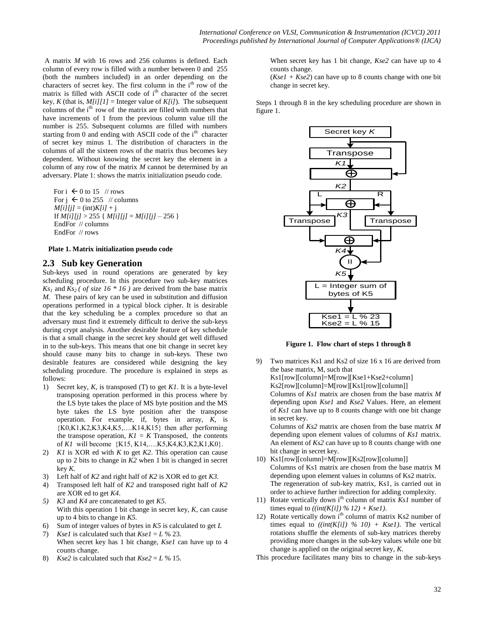A matrix *M* with 16 rows and 256 columns is defined. Each column of every row is filled with a number between 0 and 255 (both the numbers included) in an order depending on the characters of secret key. The first column in the  $i<sup>th</sup>$  row of the matrix is filled with ASCII code of i<sup>th</sup> character of the secret key, *K* (that is,  $M[i][1]$  = Integer value of  $K[i]$ ). The subsequent columns of the i<sup>th</sup> row of the matrix are filled with numbers that have increments of 1 from the previous column value till the number is 255. Subsequent columns are filled with numbers starting from 0 and ending with ASCII code of the i<sup>th</sup> character of secret key minus 1. The distribution of characters in the columns of all the sixteen rows of the matrix thus becomes key dependent. Without knowing the secret key the element in a column of any row of the matrix *M* cannot be determined by an adversary. Plate 1: shows the matrix initialization pseudo code.

For  $i \leftarrow 0$  to 15 // rows For  $j \leftarrow 0$  to 255 // columns  $M[i][j] = (int)K[i] + j$ If  $M[i][j] > 255$  {  $M[i][j] = M[i][j] - 256$  } EndFor // columns EndFor // rows

**Plate 1. Matrix initialization pseudo code**

## **2.3 Sub key Generation**

Sub-keys used in round operations are generated by key scheduling procedure. In this procedure two sub-key matrices  $Ks_1$  and  $Ks_2$  ( of size 16  $*$  16) are derived from the base matrix *M.* These pairs of key can be used in substitution and diffusion operations performed in a typical block cipher. It is desirable that the key scheduling be a complex procedure so that an adversary must find it extremely difficult to derive the sub-keys during crypt analysis. Another desirable feature of key schedule is that a small change in the secret key should get well diffused in to the sub-keys. This means that one bit change in secret key should cause many bits to change in sub-keys. These two desirable features are considered while designing the key scheduling procedure. The procedure is explained in steps as follows:

- 1) Secret key, *K*, is transposed (T) to get *K1*. It is a byte-level transposing operation performed in this process where by the LS byte takes the place of MS byte position and the MS byte takes the LS byte position after the transpose operation. For example, if, bytes in array, *K*, is  ${K0,K1,K2,K3,K4,K5,...K14,K15}$  then after performing the transpose operation,  $KI = K$  Transposed, the contents of *K1* will become {K15, K14,….K5,K4,K3,K2,K1,K0}.
- 2) *K1* is XOR ed with *K* to get *K2*. This operation can cause up to 2 bits to change in *K2* when 1 bit is changed in secret key *K.*
- 3) Left half of *K2* and right half of *K2* is XOR ed to get *K3.*
- 4) Transposed left half of *K2* and transposed right half of *K2* are XOR ed to get *K4*.
- *5) K3* and *K4* are concatenated to get *K5*. With this operation 1 bit change in secret key, *K*, can cause up to 4 bits to change in *K5.*
- 6) Sum of integer values of bytes in *K5* is calculated to get *L*
- 7) *Ksel* is calculated such that  $Kse1 = L$  % 23. When secret key has 1 bit change, *Kse1* can have up to 4 counts change.
- 8) *Kse2* is calculated such that  $Kse2 = L\%$  15.

When secret key has 1 bit change, *Kse2* can have up to 4 counts change.

 $(Kse1 + Kse2)$  can have up to 8 counts change with one bit change in secret key.

Steps 1 through 8 in the key scheduling procedure are shown in figure 1.



**Figure 1. Flow chart of steps 1 through 8**

- 9) Two matrices Ks1 and Ks2 of size 16 x 16 are derived from the base matrix, M, such that Ks1[row][column]=M[row][Kse1+Kse2+column] Ks2[row][column]=M[row][Ks1[row][column]] Columns of *Ks1* matrix are chosen from the base matrix *M* depending upon *Kse1* and *Kse2* Values. Here, an element of *Ks1* can have up to 8 counts change with one bit change in secret key. Columns of *Ks2* matrix are chosen from the base matrix *M* depending upon element values of columns of *Ks1* matrix. An element of *Ks2* can have up to 8 counts change with one
- bit change in secret key. 10) Ks1[row][column]=M[row][Ks2[row][column]] Columns of Ks1 matrix are chosen from the base matrix M depending upon element values in columns of Ks2 matrix. The regeneration of sub-key matrix, Ks1, is carried out in order to achieve further indirection for adding complexity.
- 11) Rotate vertically down i<sup>th</sup> column of matrix *Ks1* number of times equal to  $((int(K[i])\% 12) + Kse1)$ .
- 12) Rotate vertically down i<sup>th</sup> column of matrix Ks2 number of times equal to  $(\text{int}(K[i]) \, % \, 10) + Ksel$ ). The vertical rotations shuffle the elements of sub-key matrices thereby providing more changes in the sub-key values while one bit change is applied on the original secret key, *K*.
- This procedure facilitates many bits to change in the sub-keys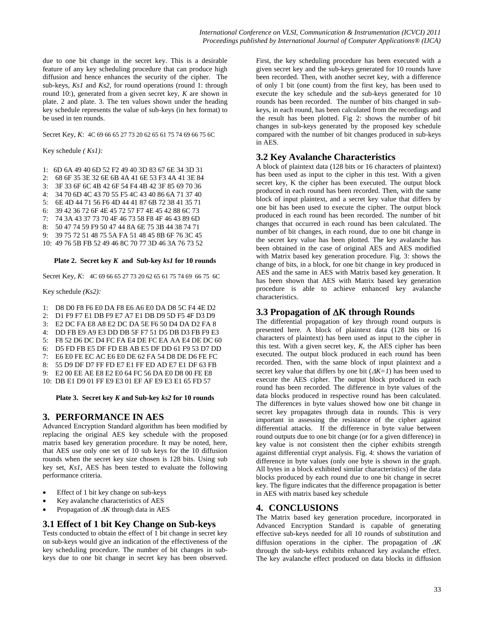due to one bit change in the secret key. This is a desirable feature of any key scheduling procedure that can produce high diffusion and hence enhances the security of the cipher. The sub-keys, *Ks1* and *Ks2,* for round operations (round 1: through round 10:), generated from a given secret key, *K* are shown in plate. 2 and plate. 3. The ten values shown under the heading key schedule represents the value of sub-keys (in hex format) to be used in ten rounds.

Secret Key, *K*: 4C 69 66 65 27 73 20 62 65 61 75 74 69 66 75 6C

Key schedule *( Ks1):*

1: 6D 6A 49 40 6D 52 F2 49 40 3D 83 67 6E 34 3D 31

2: 68 6F 35 3E 32 6E 6B 4A 41 6E 53 F3 4A 41 3E 84<br>3: 3F 33 6F 6C 4B 42 6F 54 F4 4B 42 3F 85 69 70 36

3F 33 6F 6C 4B 42 6F 54 F4 4B 42 3F 85 69 70 36

4: 34 70 6D 4C 43 70 55 F5 4C 43 40 86 6A 71 37 40

5: 6E 4D 44 71 56 F6 4D 44 41 87 6B 72 38 41 35 71 6: 39 42 36 72 6F 4E 45 72 57 F7 4E 45 42 88 6C 73

7: 74 3A 43 37 73 70 4F 46 73 58 F8 4F 46 43 89 6D

8: 50 47 74 59 F9 50 47 44 8A 6E 75 3B 44 38 74 71

9: 39 75 72 51 48 75 5A FA 51 48 45 8B 6F 76 3C 45

10: 49 76 5B FB 52 49 46 8C 70 77 3D 46 3A 76 73 52

#### **Plate 2. Secret key** *K* **and Sub-key** *ks1* **for 10 rounds**

Secret Key, *K*: 4C 69 66 65 27 73 20 62 65 61 75 74 69 66 75 6C

Key schedule *(Ks2):*

- 1: D8 D0 F8 F6 E0 DA F8 E6 A6 E0 DA D8 5C F4 4E D2
- 2: D1 F9 F7 E1 DB F9 E7 A7 E1 DB D9 5D F5 4F D3 D9

3: E2 DC FA E8 A8 E2 DC DA 5E F6 50 D4 DA D2 FA 8

4: DD FB E9 A9 E3 DD DB 5F F7 51 D5 DB D3 FB F9 E3

- 5: F8 52 D6 DC D4 FC FA E4 DE FC EA AA E4 DE DC 60
- 6: D5 FD FB E5 DF FD EB AB E5 DF DD 61 F9 53 D7 DD

7: E6 E0 FE EC AC E6 E0 DE 62 FA 54 D8 DE D6 FE FC

8: 55 D9 DF D7 FF FD E7 E1 FF ED AD E7 E1 DF 63 FB

9: E2 00 EE AE E8 E2 E0 64 FC 56 DA E0 D8 00 FE E8

10: DB E1 D9 01 FF E9 E3 01 EF AF E9 E3 E1 65 FD 57

**Plate 3. Secret key** *K* **and Sub-key** *ks2* **for 10 rounds**

## **3. PERFORMANCE IN AES**

Advanced Encryption Standard algorithm has been modified by replacing the original AES key schedule with the proposed matrix based key generation procedure. It may be noted, here, that AES use only one set of 10 sub keys for the 10 diffusion rounds when the secret key size chosen is 128 bits. Using sub key set, *Ks1,* AES has been tested to evaluate the following performance criteria.

- Effect of 1 bit key change on sub-keys
- Key avalanche characteristics of AES
- Propagation of  $\Delta K$  through data in AES

## **3.1 Effect of 1 bit Key Change on Sub-keys**

Tests conducted to obtain the effect of 1 bit change in secret key on sub-keys would give an indication of the effectiveness of the key scheduling procedure. The number of bit changes in subkeys due to one bit change in secret key has been observed.

First, the key scheduling procedure has been executed with a given secret key and the sub-keys generated for 10 rounds have been recorded. Then, with another secret key, with a difference of only 1 bit (one count) from the first key, has been used to execute the key schedule and the sub-keys generated for 10 rounds has been recorded. The number of bits changed in subkeys, in each round, has been calculated from the recordings and the result has been plotted. Fig 2: shows the number of bit changes in sub-keys generated by the proposed key schedule compared with the number of bit changes produced in sub-keys in AES.

## **3.2 Key Avalanche Characteristics**

A block of plaintext data (128 bits or 16 characters of plaintext) has been used as input to the cipher in this test. With a given secret key, K the cipher has been executed. The output block produced in each round has been recorded. Then, with the same block of input plaintext, and a secret key value that differs by one bit has been used to execute the cipher. The output block produced in each round has been recorded. The number of bit changes that occurred in each round has been calculated. The number of bit changes, in each round, due to one bit change in the secret key value has been plotted. The key avalanche has been obtained in the case of original AES and AES modified with Matrix based key generation procedure. Fig. 3: shows the change of bits, in a block, for one bit change in key produced in AES and the same in AES with Matrix based key generation. It has been shown that AES with Matrix based key generation procedure is able to achieve enhanced key avalanche characteristics.

## **3.3 Propagation of K through Rounds**

The differential propagation of key through round outputs is presented here. A block of plaintext data (128 bits or 16 characters of plaintext) has been used as input to the cipher in this test. With a given secret key, *K,* the AES cipher has been executed. The output block produced in each round has been recorded. Then, with the same block of input plaintext and a secret key value that differs by one bit  $(\Delta K=I)$  has been used to execute the AES cipher. The output block produced in each round has been recorded. The difference in byte values of the data blocks produced in respective round has been calculated. The differences in byte values showed how one bit change in secret key propagates through data in rounds. This is very important in assessing the resistance of the cipher against differential attacks. If the difference in byte value between round outputs due to one bit change (or for a given difference) in key value is not consistent then the cipher exhibits strength against differential crypt analysis. Fig. 4: shows the variation of difference in byte values (only one byte is shown in the graph. All bytes in a block exhibited similar characteristics) of the data blocks produced by each round due to one bit change in secret key. The figure indicates that the difference propagation is better in AES with matrix based key schedule

## **4. CONCLUSIONS**

The Matrix based key generation procedure, incorporated in Advanced Encryption Standard is capable of generating effective sub-keys needed for all 10 rounds of substitution and diffusion operations in the cipher. The propagation of  $\Delta K$ through the sub-keys exhibits enhanced key avalanche effect. The key avalanche effect produced on data blocks in diffusion